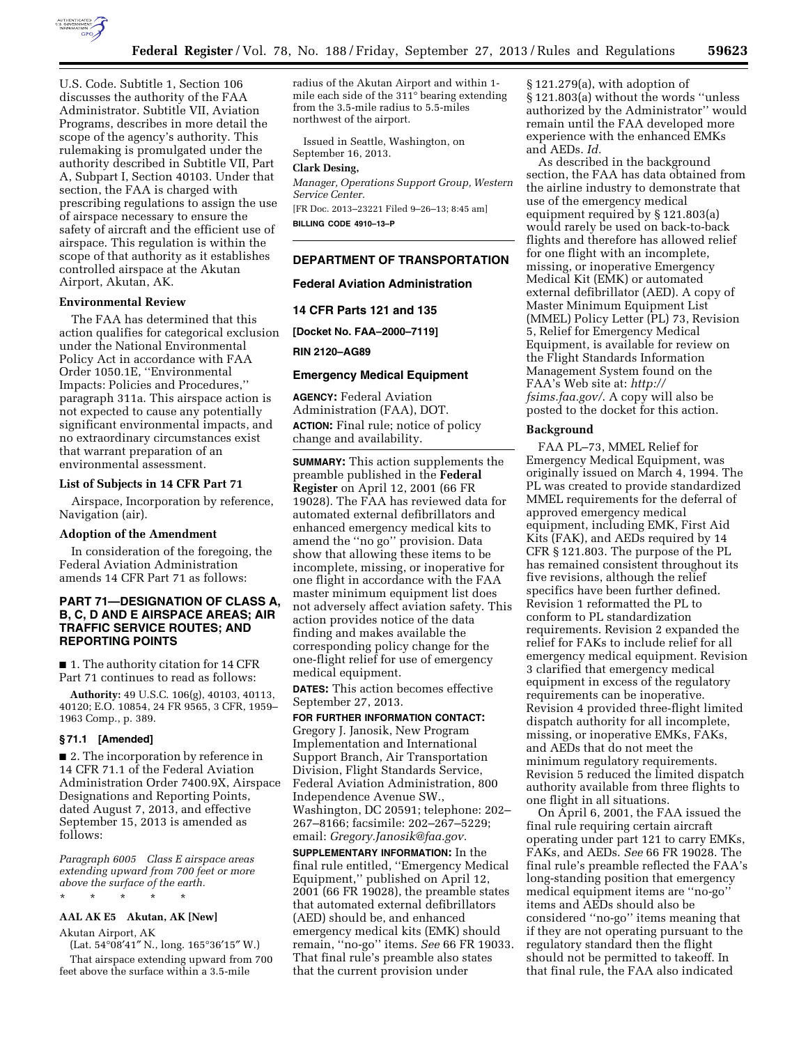

U.S. Code. Subtitle 1, Section 106 discusses the authority of the FAA Administrator. Subtitle VII, Aviation Programs, describes in more detail the scope of the agency's authority. This rulemaking is promulgated under the authority described in Subtitle VII, Part A, Subpart I, Section 40103. Under that section, the FAA is charged with prescribing regulations to assign the use of airspace necessary to ensure the safety of aircraft and the efficient use of airspace. This regulation is within the scope of that authority as it establishes controlled airspace at the Akutan Airport, Akutan, AK.

## **Environmental Review**

The FAA has determined that this action qualifies for categorical exclusion under the National Environmental Policy Act in accordance with FAA Order 1050.1E, ''Environmental Impacts: Policies and Procedures,'' paragraph 311a. This airspace action is not expected to cause any potentially significant environmental impacts, and no extraordinary circumstances exist that warrant preparation of an environmental assessment.

#### **List of Subjects in 14 CFR Part 71**

Airspace, Incorporation by reference, Navigation (air).

### **Adoption of the Amendment**

In consideration of the foregoing, the Federal Aviation Administration amends 14 CFR Part 71 as follows:

# **PART 71—DESIGNATION OF CLASS A, B, C, D AND E AIRSPACE AREAS; AIR TRAFFIC SERVICE ROUTES; AND REPORTING POINTS**

■ 1. The authority citation for 14 CFR Part 71 continues to read as follows:

**Authority:** 49 U.S.C. 106(g), 40103, 40113, 40120; E.O. 10854, 24 FR 9565, 3 CFR, 1959– 1963 Comp., p. 389.

#### **§ 71.1 [Amended]**

■ 2. The incorporation by reference in 14 CFR 71.1 of the Federal Aviation Administration Order 7400.9X, Airspace Designations and Reporting Points, dated August 7, 2013, and effective September 15, 2013 is amended as follows:

*Paragraph 6005 Class E airspace areas extending upward from 700 feet or more above the surface of the earth.* 

\* \* \* \* \*

# **AAL AK E5 Akutan, AK [New]**

Akutan Airport, AK

(Lat. 54°08′41″ N., long. 165°36′15″ W.) That airspace extending upward from 700 feet above the surface within a 3.5-mile

radius of the Akutan Airport and within 1 mile each side of the 311° bearing extending from the 3.5-mile radius to 5.5-miles northwest of the airport.

Issued in Seattle, Washington, on September 16, 2013.

# **Clark Desing,**

*Manager, Operations Support Group, Western Service Center.* 

[FR Doc. 2013–23221 Filed 9–26–13; 8:45 am] **BILLING CODE 4910–13–P** 

## **DEPARTMENT OF TRANSPORTATION**

#### **Federal Aviation Administration**

### **14 CFR Parts 121 and 135**

**[Docket No. FAA–2000–7119]** 

#### **RIN 2120–AG89**

#### **Emergency Medical Equipment**

**AGENCY:** Federal Aviation Administration (FAA), DOT. **ACTION:** Final rule; notice of policy change and availability.

**SUMMARY:** This action supplements the preamble published in the **Federal Register** on April 12, 2001 (66 FR 19028). The FAA has reviewed data for automated external defibrillators and enhanced emergency medical kits to amend the ''no go'' provision. Data show that allowing these items to be incomplete, missing, or inoperative for one flight in accordance with the FAA master minimum equipment list does not adversely affect aviation safety. This action provides notice of the data finding and makes available the corresponding policy change for the one-flight relief for use of emergency medical equipment.

**DATES:** This action becomes effective September 27, 2013.

### **FOR FURTHER INFORMATION CONTACT:**

Gregory J. Janosik, New Program Implementation and International Support Branch, Air Transportation Division, Flight Standards Service, Federal Aviation Administration, 800 Independence Avenue SW., Washington, DC 20591; telephone: 202– 267–8166; facsimile: 202–267–5229; email: *[Gregory.Janosik@faa.gov.](mailto:Gregory.Janosik@faa.gov)* 

**SUPPLEMENTARY INFORMATION:** In the final rule entitled, ''Emergency Medical Equipment,'' published on April 12, 2001 (66 FR 19028), the preamble states that automated external defibrillators (AED) should be, and enhanced emergency medical kits (EMK) should remain, ''no-go'' items. *See* 66 FR 19033. That final rule's preamble also states that the current provision under

§ 121.279(a), with adoption of § 121.803(a) without the words ''unless authorized by the Administrator'' would remain until the FAA developed more experience with the enhanced EMKs and AEDs. *Id.* 

As described in the background section, the FAA has data obtained from the airline industry to demonstrate that use of the emergency medical equipment required by § 121.803(a) would rarely be used on back-to-back flights and therefore has allowed relief for one flight with an incomplete, missing, or inoperative Emergency Medical Kit (EMK) or automated external defibrillator (AED). A copy of Master Minimum Equipment List (MMEL) Policy Letter (PL) 73, Revision 5, Relief for Emergency Medical Equipment, is available for review on the Flight Standards Information Management System found on the FAA's Web site at: *[http://](http://fsims.faa.gov/) [fsims.faa.gov/](http://fsims.faa.gov/)*. A copy will also be posted to the docket for this action.

#### **Background**

FAA PL–73, MMEL Relief for Emergency Medical Equipment, was originally issued on March 4, 1994. The PL was created to provide standardized MMEL requirements for the deferral of approved emergency medical equipment, including EMK, First Aid Kits (FAK), and AEDs required by 14 CFR § 121.803. The purpose of the PL has remained consistent throughout its five revisions, although the relief specifics have been further defined. Revision 1 reformatted the PL to conform to PL standardization requirements. Revision 2 expanded the relief for FAKs to include relief for all emergency medical equipment. Revision 3 clarified that emergency medical equipment in excess of the regulatory requirements can be inoperative. Revision 4 provided three-flight limited dispatch authority for all incomplete, missing, or inoperative EMKs, FAKs, and AEDs that do not meet the minimum regulatory requirements. Revision 5 reduced the limited dispatch authority available from three flights to one flight in all situations.

On April 6, 2001, the FAA issued the final rule requiring certain aircraft operating under part 121 to carry EMKs, FAKs, and AEDs. *See* 66 FR 19028. The final rule's preamble reflected the FAA's long-standing position that emergency medical equipment items are ''no-go'' items and AEDs should also be considered ''no-go'' items meaning that if they are not operating pursuant to the regulatory standard then the flight should not be permitted to takeoff. In that final rule, the FAA also indicated